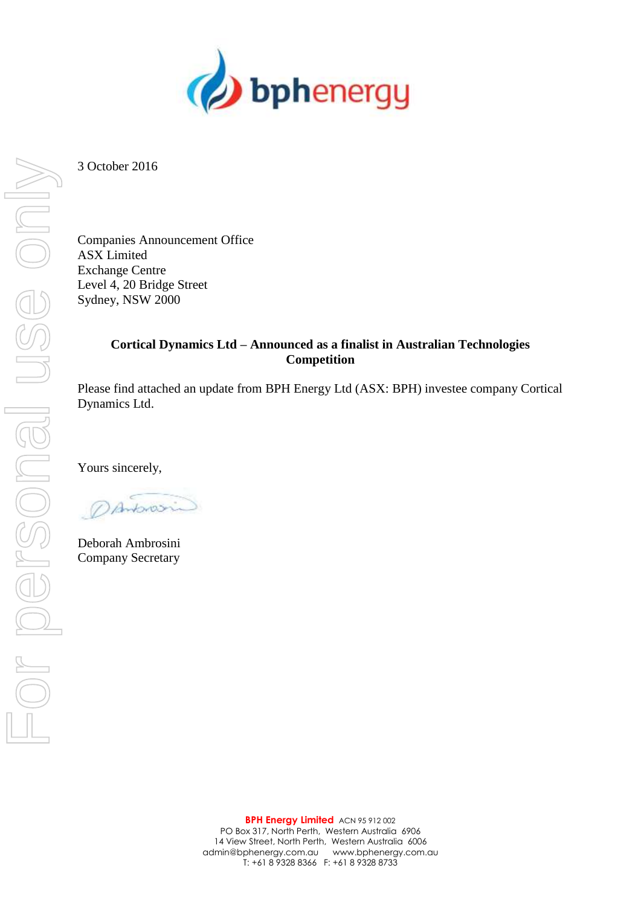

3 October 2016

Companies Announcement Office ASX Limited Exchange Centre Level 4, 20 Bridge Street Sydney, NSW 2000

### **Cortical Dynamics Ltd – Announced as a finalist in Australian Technologies Competition**

Please find attached an update from BPH Energy Ltd (ASX: BPH) investee company Cortical Dynamics Ltd.

Yours sincerely,

Antonosin

Deborah Ambrosini Company Secretary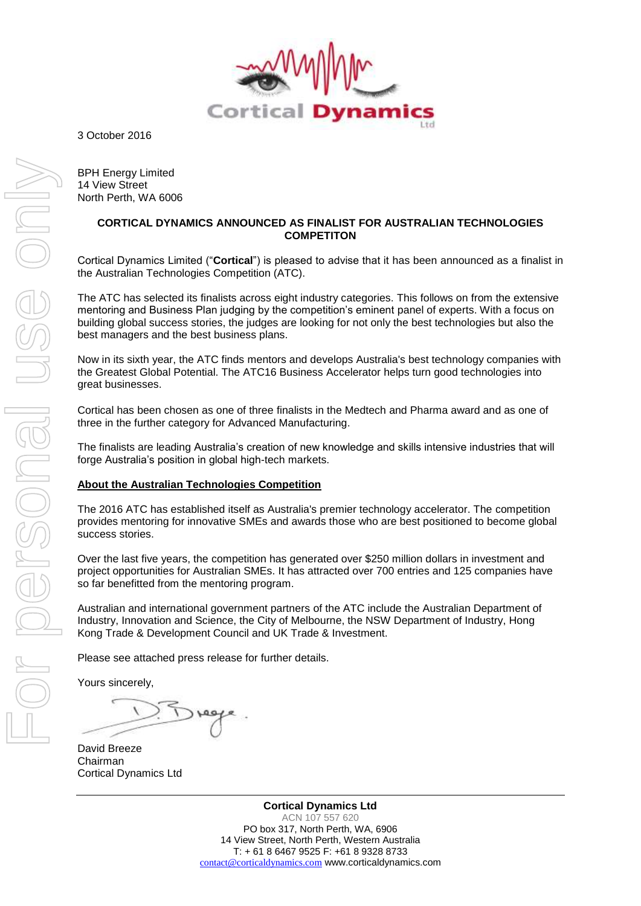

3 October 2016

BPH Energy Limited 14 View Street North Perth, WA 6006

#### **CORTICAL DYNAMICS ANNOUNCED AS FINALIST FOR AUSTRALIAN TECHNOLOGIES COMPETITON**

Cortical Dynamics Limited ("**Cortical**") is pleased to advise that it has been announced as a finalist in the Australian Technologies Competition (ATC).

The ATC has selected its finalists across eight industry categories. This follows on from the extensive mentoring and Business Plan judging by the competition's eminent panel of experts. With a focus on building global success stories, the judges are looking for not only the best technologies but also the best managers and the best business plans.

Now in its sixth year, the ATC finds mentors and develops Australia's best technology companies with the Greatest Global Potential. The ATC16 Business Accelerator helps turn good technologies into great businesses.

Cortical has been chosen as one of three finalists in the Medtech and Pharma award and as one of three in the further category for Advanced Manufacturing.

The finalists are leading Australia's creation of new knowledge and skills intensive industries that will forge Australia's position in global high-tech markets.

#### **About the Australian Technologies Competition**

The 2016 ATC has established itself as Australia's premier technology accelerator. The competition provides mentoring for innovative SMEs and awards those who are best positioned to become global success stories.

Over the last five years, the competition has generated over \$250 million dollars in investment and project opportunities for Australian SMEs. It has attracted over 700 entries and 125 companies have so far benefitted from the mentoring program.

Australian and international government partners of the ATC include the Australian Department of Industry, Innovation and Science, the City of Melbourne, the NSW Department of Industry, Hong Kong Trade & Development Council and UK Trade & Investment.

Please see attached press release for further details.

Yours sincerely,

David Breeze Chairman Cortical Dynamics Ltd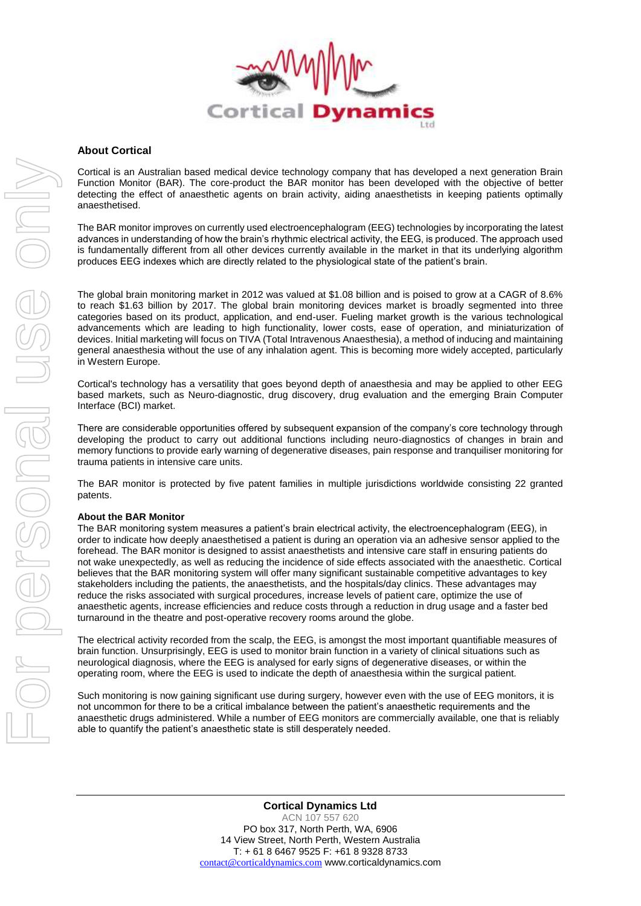

#### **About Cortical**

Cortical is an Australian based medical device technology company that has developed a next generation Brain Function Monitor (BAR). The core-product the BAR monitor has been developed with the objective of better detecting the effect of anaesthetic agents on brain activity, aiding anaesthetists in keeping patients optimally anaesthetised.

The BAR monitor improves on currently used electroencephalogram (EEG) technologies by incorporating the latest advances in understanding of how the brain's rhythmic electrical activity, the EEG, is produced. The approach used is fundamentally different from all other devices currently available in the market in that its underlying algorithm produces EEG indexes which are directly related to the physiological state of the patient's brain.

The global brain monitoring market in 2012 was valued at \$1.08 billion and is poised to grow at a CAGR of 8.6% to reach \$1.63 billion by 2017. The global brain monitoring devices market is broadly segmented into three categories based on its product, application, and end-user. Fueling market growth is the various technological advancements which are leading to high functionality, lower costs, ease of operation, and miniaturization of devices. Initial marketing will focus on TIVA (Total Intravenous Anaesthesia), a method of inducing and maintaining general anaesthesia without the use of any inhalation agent. This is becoming more widely accepted, particularly in Western Europe.

Cortical's technology has a versatility that goes beyond depth of anaesthesia and may be applied to other EEG based markets, such as Neuro-diagnostic, drug discovery, drug evaluation and the emerging Brain Computer Interface (BCI) market.

There are considerable opportunities offered by subsequent expansion of the company's core technology through developing the product to carry out additional functions including neuro-diagnostics of changes in brain and memory functions to provide early warning of degenerative diseases, pain response and tranquiliser monitoring for trauma patients in intensive care units.

The BAR monitor is protected by five patent families in multiple jurisdictions worldwide consisting 22 granted patents.

#### **About the BAR Monitor**

The BAR monitoring system measures a patient's brain electrical activity, the electroencephalogram (EEG), in order to indicate how deeply anaesthetised a patient is during an operation via an adhesive sensor applied to the forehead. The BAR monitor is designed to assist anaesthetists and intensive care staff in ensuring patients do not wake unexpectedly, as well as reducing the incidence of side effects associated with the anaesthetic. Cortical believes that the BAR monitoring system will offer many significant sustainable competitive advantages to key stakeholders including the patients, the anaesthetists, and the hospitals/day clinics. These advantages may reduce the risks associated with surgical procedures, increase levels of patient care, optimize the use of anaesthetic agents, increase efficiencies and reduce costs through a reduction in drug usage and a faster bed turnaround in the theatre and post-operative recovery rooms around the globe.

The electrical activity recorded from the scalp, the EEG, is amongst the most important quantifiable measures of brain function. Unsurprisingly, EEG is used to monitor brain function in a variety of clinical situations such as neurological diagnosis, where the EEG is analysed for early signs of degenerative diseases, or within the operating room, where the EEG is used to indicate the depth of anaesthesia within the surgical patient.

Such monitoring is now gaining significant use during surgery, however even with the use of EEG monitors, it is not uncommon for there to be a critical imbalance between the patient's anaesthetic requirements and the anaesthetic drugs administered. While a number of EEG monitors are commercially available, one that is reliably able to quantify the patient's anaesthetic state is still desperately needed.

**Cortical Dynamics Ltd** ACN 107 557 620 PO box 317, North Perth, WA, 6906 14 View Street, North Perth, Western Australia T: + 61 8 6467 9525 F: +61 8 9328 8733 [contact@corticaldynamics.com](mailto:contact@corticaldynamics.com) www.corticaldynamics.com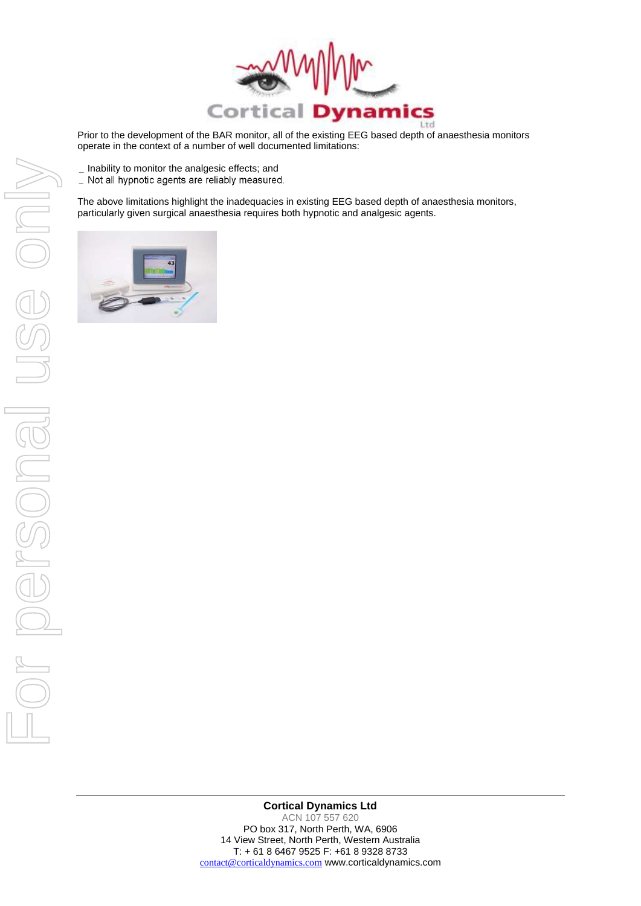

Prior to the development of the BAR monitor, all of the existing EEG based depth of anaesthesia monitors operate in the context of a number of well documented limitations:

- $\_$  Inability to monitor the analgesic effects; and
- \_ Not all hypnotic agents are reliably measured.

The above limitations highlight the inadequacies in existing EEG based depth of anaesthesia monitors, particularly given surgical anaesthesia requires both hypnotic and analgesic agents.



**Cortical Dynamics Ltd** ACN 107 557 620 PO box 317, North Perth, WA, 6906 14 View Street, North Perth, Western Australia T: + 61 8 6467 9525 F: +61 8 9328 8733 [contact@corticaldynamics.com](mailto:contact@corticaldynamics.com) www.corticaldynamics.com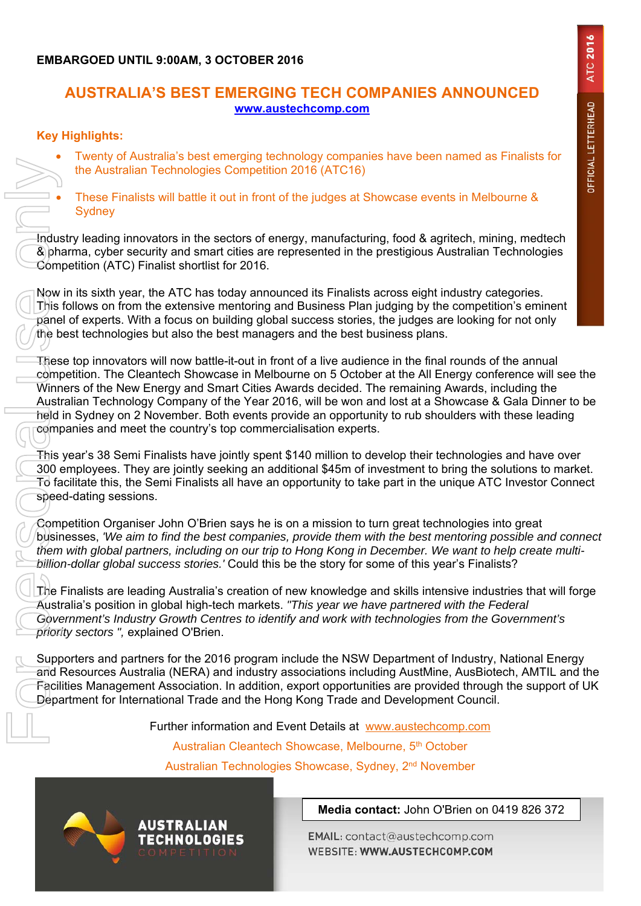## **EMBARGOED UNTIL 9:00AM, 3 OCTOBER 2016**

## **AUSTRALIA'S BEST EMERGING TECH COMPANIES ANNOUNCED www.austechcomp.com**

### **Key Highlights:**

- Twenty of Australia's best emerging technology companies have been named as Finalists for the Australian Technologies Competition 2016 (ATC16)
- These Finalists will battle it out in front of the judges at Showcase events in Melbourne & **Sydney**

Industry leading innovators in the sectors of energy, manufacturing, food & agritech, mining, medtech & pharma, cyber security and smart cities are represented in the prestigious Australian Technologies Competition (ATC) Finalist shortlist for 2016.

Now in its sixth year, the ATC has today announced its Finalists across eight industry categories. This follows on from the extensive mentoring and Business Plan judging by the competition's eminent panel of experts. With a focus on building global success stories, the judges are looking for not only the best technologies but also the best managers and the best business plans.

These top innovators will now battle-it-out in front of a live audience in the final rounds of the annual competition. The Cleantech Showcase in Melbourne on 5 October at the All Energy conference will see the Winners of the New Energy and Smart Cities Awards decided. The remaining Awards, including the Australian Technology Company of the Year 2016, will be won and lost at a Showcase & Gala Dinner to be held in Sydney on 2 November. Both events provide an opportunity to rub shoulders with these leading companies and meet the country's top commercialisation experts.

This year's 38 Semi Finalists have jointly spent \$140 million to develop their technologies and have over 300 employees. They are jointly seeking an additional \$45m of investment to bring the solutions to market. To facilitate this, the Semi Finalists all have an opportunity to take part in the unique ATC Investor Connect speed-dating sessions.

Competition Organiser John O'Brien says he is on a mission to turn great technologies into great businesses, *'We aim to find the best companies, provide them with the best mentoring possible and connect them with global partners, including on our trip to Hong Kong in December. We want to help create multibillion-dollar global success stories.'* Could this be the story for some of this year's Finalists?

The Finalists are leading Australia's creation of new knowledge and skills intensive industries that will forge Australia's position in global high-tech markets. *"This year we have partnered with the Federal Government's Industry Growth Centres to identify and work with technologies from the Government's priority sectors ",* explained O'Brien.

Supporters and partners for the 2016 program include the NSW Department of Industry, National Energy and Resources Australia (NERA) and industry associations including AustMine, AusBiotech, AMTIL and the Facilities Management Association. In addition, export opportunities are provided through the support of UK Department for International Trade and the Hong Kong Trade and Development Council.

Further information and Event Details at www.austechcomp.com

Australian Cleantech Showcase, Melbourne, 5<sup>th</sup> October

Australian Technologies Showcase, Sydney, 2nd November

AUSTRALIAN

**TECHNOLOGIES** 

**Media contact:** John O'Brien on 0419 826 372

EMAIL: contact@austechcomp.com WEBSITE: WWW.AUSTECHCOMP.COM